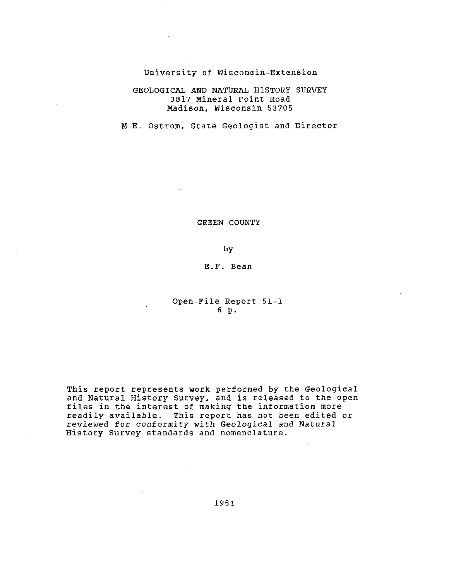### University of Wisconsin-Extension

# GEOLOGICAL AND NATURAL HISTORY SURVEY 3817 Mineral Point Road Madison, Wisconsin 53705

M.E. Ostrom, State Geologist and Director

GREEN COUNTY

by

E..F. Bean

## Open-File Report 51-1 6 p..

This report represents work performed by the Geological and Natural History Survey, and is released to the open files in the interest of making the information more readily available. This report has not been edited or reviewed for conformity with Geological and Natural History Survey standards and nomenclature.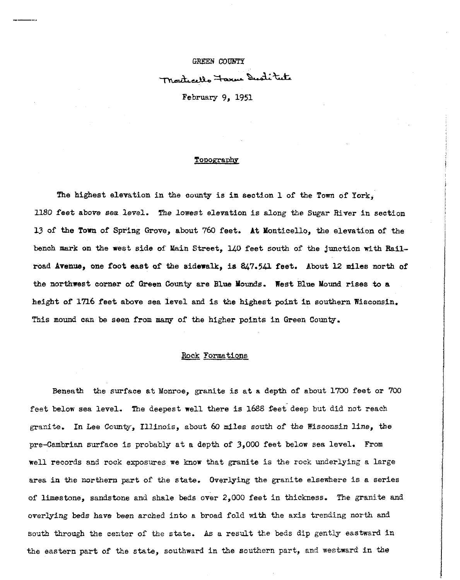GREEN COUNTY Montecello Faxa Duotitute February 9, 1951

Topography

The highest elevation in the county is in section 1 of the Tom of York, 1180 feet above sea level. The lowest elevation is along the Sugar River in section 13 of the Town of Spring Grove, about 760 feet. At Monticello, the elevation of the bench mark on the west side of Main Street, **140** feet south of the junction with Bail. road Avenue, one foot east of the sidewalk, is **847.54** feet. About 12 miles north of the northwest corner of Green County are **Blue Mounds.** West Blue Mound rises to a height of **1716** feet above sea level and is the highest point in southern Wisconsin. This mound can be seen from *maq* of the higher points in Green County. of the higher poi<br>Rock Formations

Beneath the surface at Monroe, granite is at a depth of about 1700 feet or 700 feet below sea level. The deepest well there is 1688 feet deep but did not reach granite. In Lee County, Illinois, about 60 miles south of the Wisconsin line, the pre-Cambrian surface is probably at a depth of  $3,000$  feet below sea level. From well records and rock exposures we know that granite is the rock underlying a large area in the northern **part** of the state. Overlying the granite elsewhere is a series of limestone, sandstone and shale beds over 2,000 feet in thickness. The granite and overlying beds have been arched into a broad fold with the axis trending north and south through the center of the **state. As** a result the beds dip gently eastward in the eastern part of the state, southward in the southern part, end westward in **the**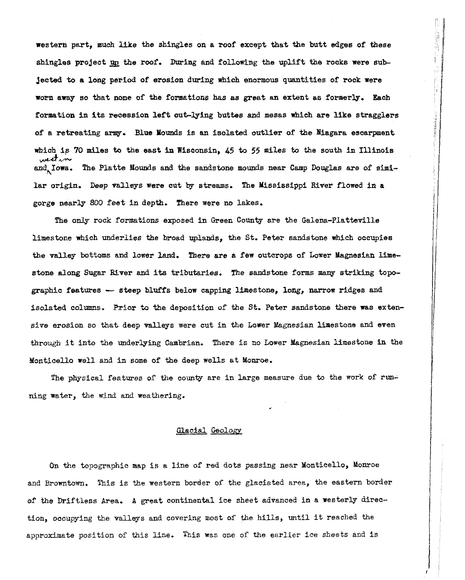western part, much like the shingles on a roof except that the butt edges of these shingles project up the roof. During and following the uplift the rocks were subjected to a long period of erosion during which enormous quantities of rock were worn away so that none of the formetions has **as** great an extent as formerly. Each formation in its recession left out-lylng buttes **and** mesas which are **like** stragglers of a retreating army. **Blue** Mounds is an isolated outlier of the Hiagara escarpment which is 70 miles to the east in Wisconsin, 45 to 55 miles to the south in Illinois  $\frac{1}{4}$  a reure<br>aich is 7<br> $\frac{1}{4}$  70ma. and, Iowa. The Platte Mounds and the sandstone mounds near Camp Douglas are of similar origin. Deep valleys were cut by streams. The Mississippi River flowed in a gorge nearly 800 feet in depth. There were no lakes.

'fhe only rock formations exposed in Green County are the Galena-Plattaville limestone which umierlies the broad uplands, the St. Peter sandstone which occupies the valley bottoms and lower land. There are a few outcrops of Lower Magnesian limestone along Sugar River and its tributaries. The sandstone forms many striking topographic features -. steep bluffs below capping limestone, long, narrow ridges **and**  isolatad collpus. **Psior** to the deposition of the St. Peter sandstone there was extensive erosion so that deep valleys were cut in the Lower Magnesian limestone and even through it into the underlying Cambrian. There is no Lower Magnesia limestone **fn** the Monticello well and in some of the deep wells at Monroe.

The physical features of the county are in large measure due to the work of running water, the **wind** and weathering. ,

## Glacial Geology

On the topographic map is a line of red dots passing near Monticello, Monroe and Browntown. This is the western border of the glaciated area, the eastern border of the Driftless Area. A great continental ice sheet advanced in a westerly direction, occupying the **valleys** and covering most of the hills, until it reached the approximate position of this line. This was one of the earlier ice sheets and is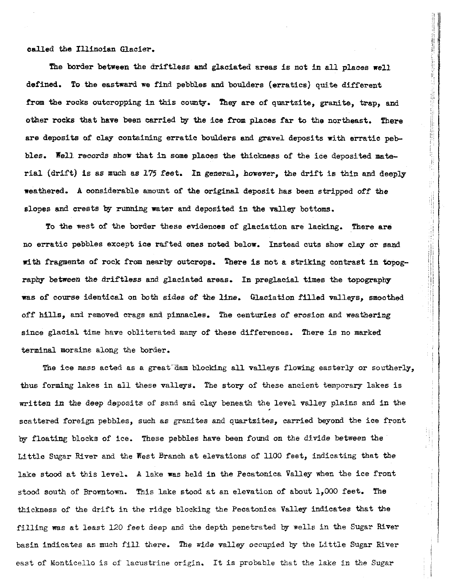## called the lllinoian Glacier.

The border between the driftless and glaciated areas is not in **all** places well defined. To the eastward we find pebbles and boulders (erratics) quite different from the rocks outcropping in this county. **'Lhey** are of quartzite, granite, trap, and other rocks that have been carried by the ice **from** places far to the northeast. There are deposits of clay containing erratic boulders and gravel deposits with erratic pebbles. **Eell** records show that in some places the thickness of the ice deposited **mate**rial (drift) is as much as 175 feet. **fn** general, however, the drift is thin and deeply weathered. A considerable amount of the original deposit has been stripped off the slopes and crests by **running** rater and deposited in the **valley** bottoms.

To the west of the border these evidences of glaciation are lacking. There are no erratic pebbles except ice rafted ones noted below. Instead cuts show clay or sand with fragments of rock from nearby outcrops. There is not a striking contrast in topography between the driftless and glaciated areas. In preglacial times the topography ras of course identical on **both** sides of the line. Glaciation filled valleys, smoothed off hills, and removed crags and pinnacles. The centuries of erosion and weathering since glacial time have obliterated **maq** of these differences. There is no marked terminal moraine along the border.

The ice mass acted as a great dam blocking all valleys flowing easterly or southerly, **thus** forming lakes in all these valleys. The story of these ancient temporsry lakes is written in the deep deposits of sand and clay beneath the level valley plains and in the scettered foreign pebbles, such as **granites** and quartzites, carried beyond the ice front by floating blocks of ice. These pebbles **have** been found on the divide between the Little Sugar River and the West Branch at elevations of **ll00** feet, indicating that the lake stood at this level. A lake was held in the Pecatonica Valley when the ice front stood south of **Browntown.** This lake stood at an elevation of about 1,000 feet. 'fhe thickness of the drift in the ridge blocking the Pecatonica Valley indicates that the filling **~as** at least 120 feet deep and the depth penetrated by wells in the Sugar River basin indicates as much fill there. The wide valley occupied by the Little Sugar River east of Monticello is of lacustrine origin. It is probable that the lake in the Sugar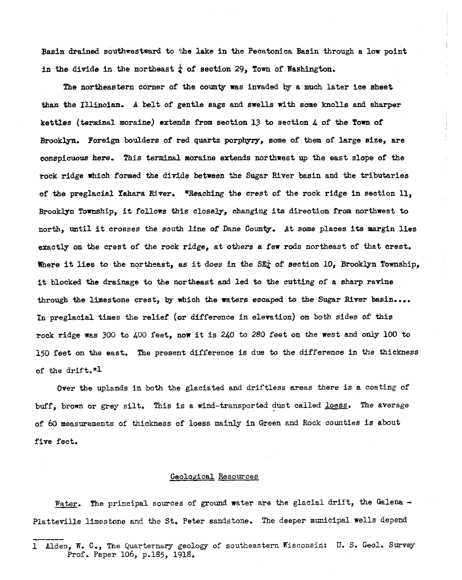Basin drained southwestward to the lake in the Pecatonica Basin through a low point in the divide in the northeast  $\frac{1}{4}$  of section 29, Town of Washington.

The northeastern corner of the county was invaded by a much later ice sheet than the Illinoian. A belt of gentle sags **and** swells with some knolls **and** sharper kettles (terminal moraine) extends from section 13 to section 4 of the Town of **Brooklyn.** Foreign boulders of red **quartz** porphyry, some of them of large size, are conspicuons here. This **terminal** moraine extends northwest up the east slope of the rock ridge which formed the divide between the Sugar River basin and the tributaries of the preglacial Yahara River. "Reaching the crest of the rock ridge in section  $11$ , Brooklyn Township, it follows this closely, changing its direction from northwest to north, until it crosses the south line of Dane County. At some places its margin lies exactly on the crest of the rock ridge, at others a few rods northeast of that crest. Where it lies to the northeast, as it does in the  $SE_{\pm}^{\perp}$  of section 10, Brooklyn Township, it blocked the drainage to the northeast **and** led to the cutting of a sharp ravine through the limestone crest, by which the waters escaped to the Sugar River basin.... In preglacial times the relief (or difference in elevation) on both sides of this rock ridge was 300 to **100** feet, now it is **240** to 280 feet on the west and only 100 to 150 feet on the east. The present difference is due to the difference in the thickness of the drift."<sup>1</sup>

Over **the** uplands la **both** the glaciated and driftless areas there is a coating of buff, brown or grey silt. This is a wind-transported dust called loess. The average of 60 measurements of thickness of loess mainly in Green and Rock counties is about five feet.

### Geological Resources

Water. The principal sources of ground water are the glacial drift, the Galena -Platteville limestone and the St. Peter sandstone. The deeper municipal wells depend --

<sup>1</sup> Alden, W. **C.,** The Quarternary geology of southeastern Wisconsin: **U. S.** Geol. **Survey**  Prof. Paper 106, **p.185,** 1918.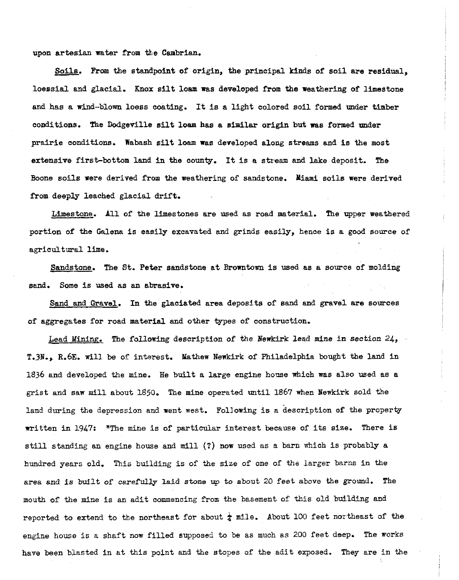upon artesian water from the Cambrian.

Soils. From the standpoint of origin, the principal kinds of soil are residual. loessial and glacial. Knox silt loan vas developed from the weathering of limestone and has a wind-blown loess coating. It is a light colored soil formed under timber conditions. The Dodgeville silt loam has a similar origin but was formed under prairie conditions. Wabash silt loam was developed along streams and is the most extensive first-bottom land in the county. It is a stream and lake deposit. The Boone soils were derived from the weathering of sandstone. Miami soils were derived from deeply leached glacial drift.

Limestone. All of the limestones are used as road material. The upper weathered portion of the Galena is easily excavated and grinds easily, hence is a good source of agricultural line. -- Sandstone, The St. Peter sandstone at Browntown is used as a source of molding

sand. Some is used as an abrasive.

Sand and Gravel. In the glaciated area deposjts of sand and gravel **are** sources of aggregates for road material and other types of construction.

Sandstone. The St. Peter sandstone at Browntown is used as a source of molding<br>Come is used as an abrasive.<br>Sand and Gravel. In the glaciated area deposits of sand and gravel are sources<br>gregates for road material and othe T.3N., R.6E. will be of interest. Mathew Newkirk of Philadelphia bought the land in 1836 and developed the mine. He built a large engine house which was also used as a grist and saw mill about 1850. The mine operated until 1867 when Hewkirk sold the land during the depression and went west. Following is a description of the property written in 1947: "The mine is of particular interest because of its size. There is still standing an engine house and mill (?) now used as a barn which is probably a hundred years old. This building is of the size of one of the larger barns in the area and is built of carefully laid stone **up** to about 20 feet above the ground. The mouth of the mine is an adit commencing from the basement of this old building and reported to extend to the northeast for about  $\frac{1}{4}$  mile. About 100 feet northeast of the engine house is a shaft now filled supposed to be as much as 200 feet deep. The works have been blasted in at this point and the stopes of the adit exposed. They are in the